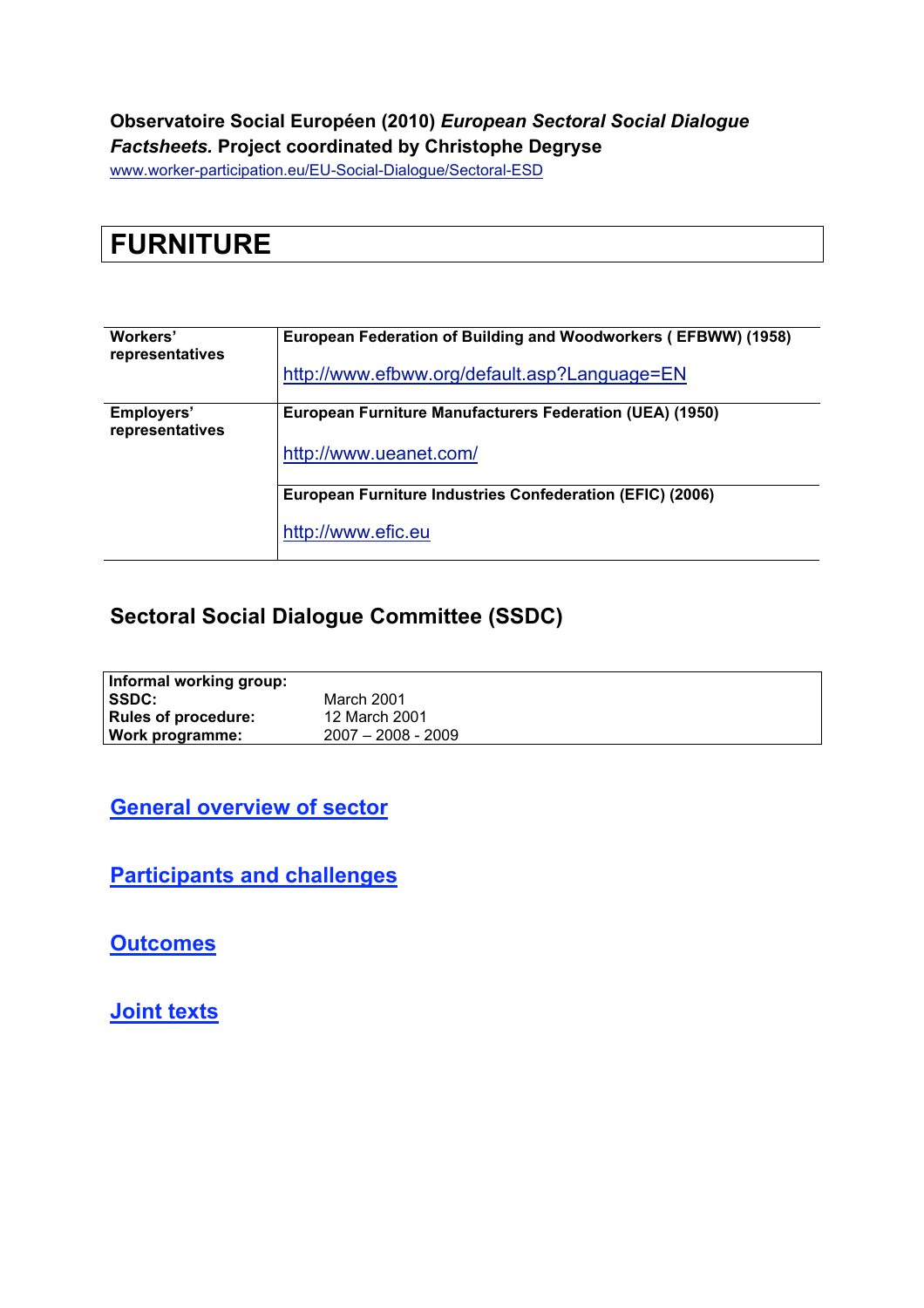#### **Observatoire Social Européen (2010)** *European Sectoral Social Dialogue Factsheets.* **Project coordinated by Christophe Degryse**

www.worker-participation.eu/EU-Social-Dialogue/Sectoral-ESD

| <b>FURNITURE</b> |  |
|------------------|--|
|                  |  |

| Workers'<br>representatives   | European Federation of Building and Woodworkers (EFBWW) (1958) |  |  |  |  |
|-------------------------------|----------------------------------------------------------------|--|--|--|--|
|                               | http://www.efbww.org/default.asp?Language=EN                   |  |  |  |  |
| Employers'<br>representatives | European Furniture Manufacturers Federation (UEA) (1950)       |  |  |  |  |
|                               | http://www.ueanet.com/                                         |  |  |  |  |
|                               | European Furniture Industries Confederation (EFIC) (2006)      |  |  |  |  |
|                               | http://www.efic.eu                                             |  |  |  |  |

## **Sectoral Social Dialogue Committee (SSDC)**

| Informal working group:    |                      |
|----------------------------|----------------------|
| <b>SSDC:</b>               | March 2001           |
| <b>Rules of procedure:</b> | 12 March 2001        |
| Work programme:            | $2007 - 2008 - 2009$ |

**General overview of sector**

**Participants and challenges**

**Outcomes**

**Joint texts**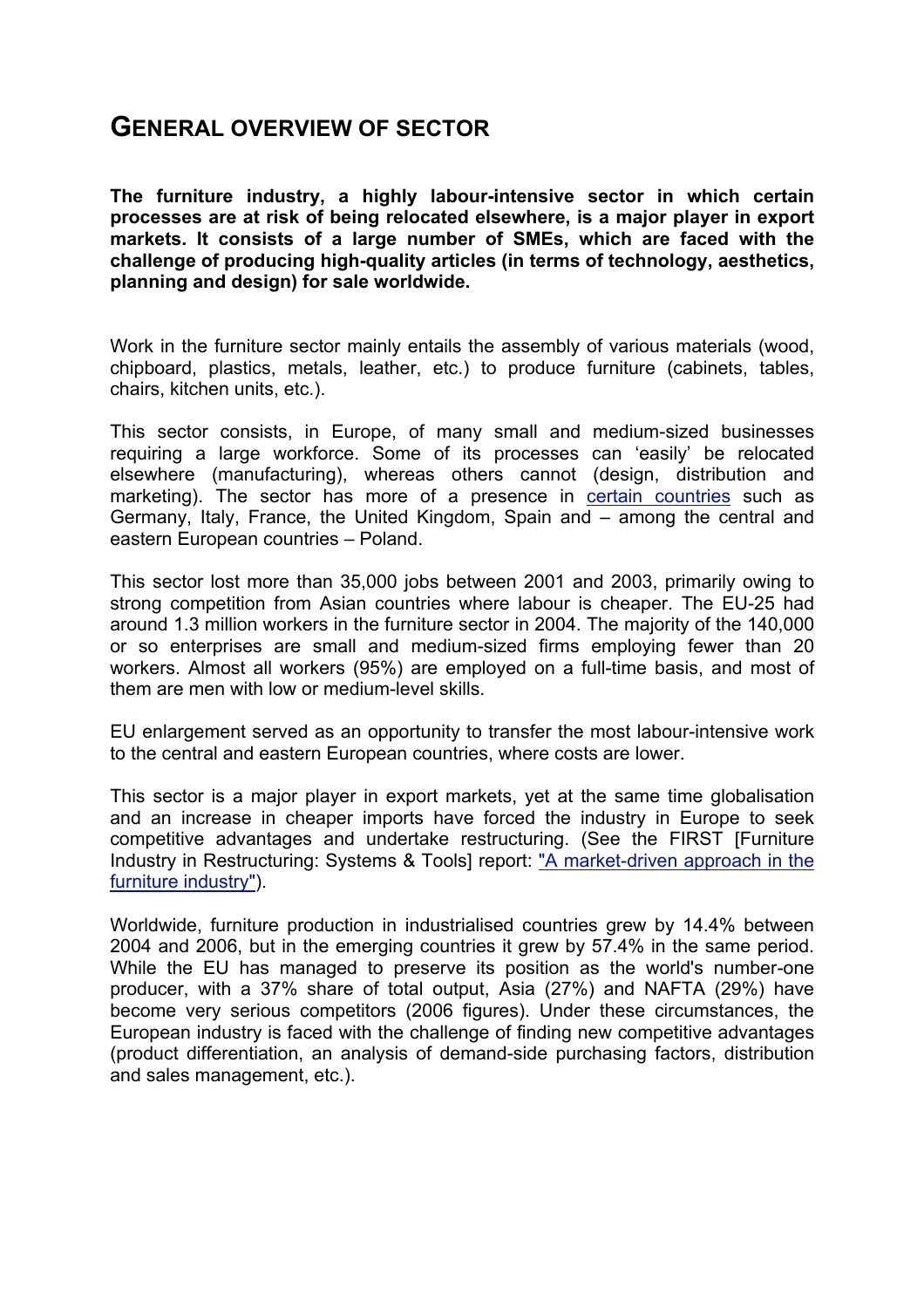### **GENERAL OVERVIEW OF SECTOR**

**The furniture industry, a highly labour-intensive sector in which certain processes are at risk of being relocated elsewhere, is a major player in export markets. It consists of a large number of SMEs, which are faced with the challenge of producing high-quality articles (in terms of technology, aesthetics, planning and design) for sale worldwide.**

Work in the furniture sector mainly entails the assembly of various materials (wood, chipboard, plastics, metals, leather, etc.) to produce furniture (cabinets, tables, chairs, kitchen units, etc.).

This sector consists, in Europe, of many small and medium-sized businesses requiring a large workforce. Some of its processes can 'easily' be relocated elsewhere (manufacturing), whereas others cannot (design, distribution and marketing). The sector has more of a presence in certain countries such as Germany, Italy, France, the United Kingdom, Spain and – among the central and eastern European countries – Poland.

This sector lost more than 35,000 jobs between 2001 and 2003, primarily owing to strong competition from Asian countries where labour is cheaper. The EU-25 had around 1.3 million workers in the furniture sector in 2004. The majority of the 140,000 or so enterprises are small and medium-sized firms employing fewer than 20 workers. Almost all workers (95%) are employed on a full-time basis, and most of them are men with low or medium-level skills.

EU enlargement served as an opportunity to transfer the most labour-intensive work to the central and eastern European countries, where costs are lower.

This sector is a major player in export markets, yet at the same time globalisation and an increase in cheaper imports have forced the industry in Europe to seek competitive advantages and undertake restructuring. (See the FIRST [Furniture Industry in Restructuring: Systems & Tools] report: "A market-driven approach in the furniture industry").

Worldwide, furniture production in industrialised countries grew by 14.4% between 2004 and 2006, but in the emerging countries it grew by 57.4% in the same period. While the EU has managed to preserve its position as the world's number-one producer, with a 37% share of total output, Asia (27%) and NAFTA (29%) have become very serious competitors (2006 figures). Under these circumstances, the European industry is faced with the challenge of finding new competitive advantages (product differentiation, an analysis of demand-side purchasing factors, distribution and sales management, etc.).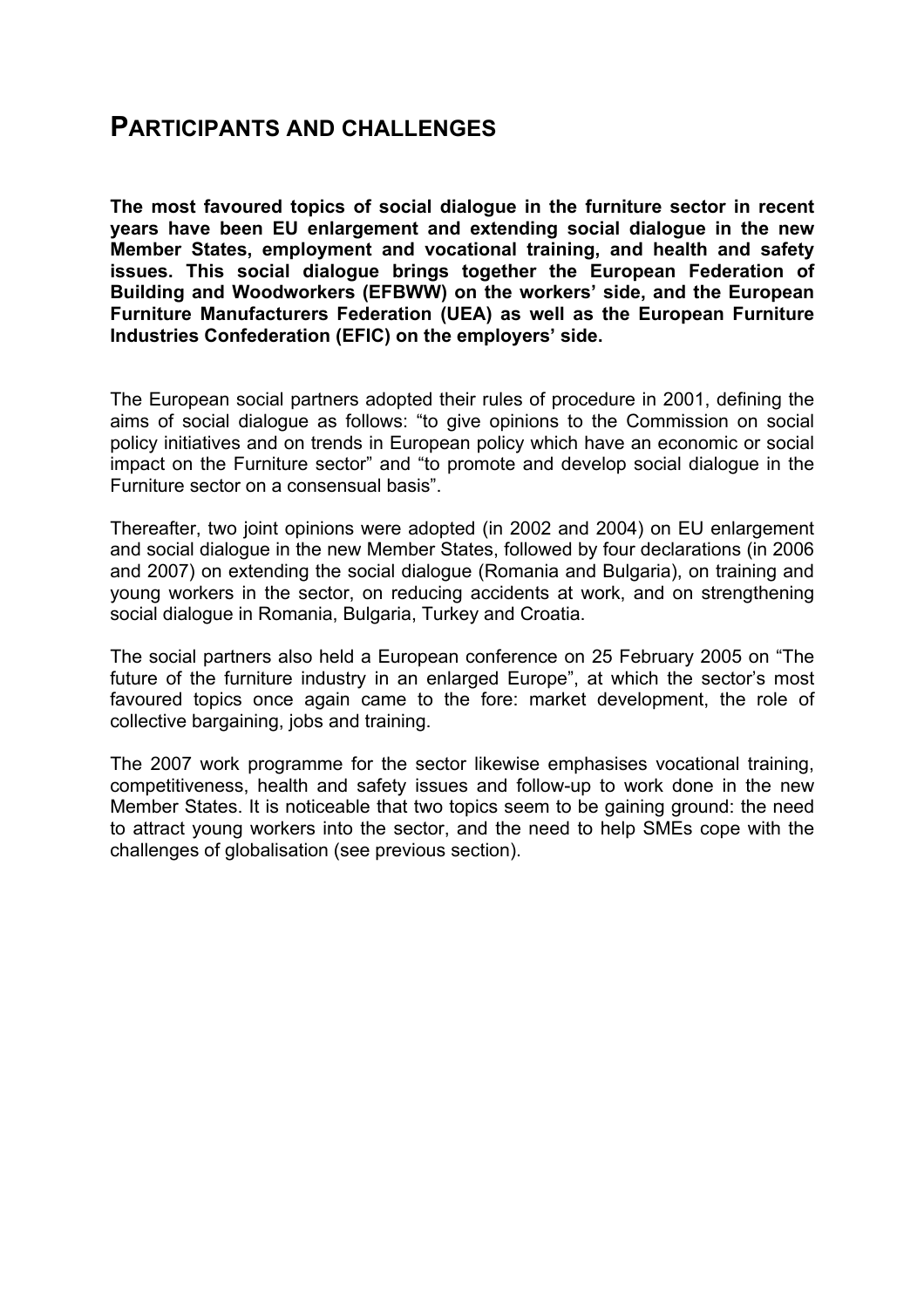### **PARTICIPANTS AND CHALLENGES**

**The most favoured topics of social dialogue in the furniture sector in recent years have been EU enlargement and extending social dialogue in the new Member States, employment and vocational training, and health and safety issues. This social dialogue brings together the European Federation of Building and Woodworkers (EFBWW) on the workers' side, and the European Furniture Manufacturers Federation (UEA) as well as the European Furniture Industries Confederation (EFIC) on the employers' side.**

The European social partners adopted their rules of procedure in 2001, defining the aims of social dialogue as follows: "to give opinions to the Commission on social policy initiatives and on trends in European policy which have an economic or social impact on the Furniture sector" and "to promote and develop social dialogue in the Furniture sector on a consensual basis".

Thereafter, two joint opinions were adopted (in 2002 and 2004) on EU enlargement and social dialogue in the new Member States, followed by four declarations (in 2006 and 2007) on extending the social dialogue (Romania and Bulgaria), on training and young workers in the sector, on reducing accidents at work, and on strengthening social dialogue in Romania, Bulgaria, Turkey and Croatia.

The social partners also held a European conference on 25 February 2005 on "The future of the furniture industry in an enlarged Europe", at which the sector's most favoured topics once again came to the fore: market development, the role of collective bargaining, jobs and training.

The 2007 work programme for the sector likewise emphasises vocational training, competitiveness, health and safety issues and follow-up to work done in the new Member States. It is noticeable that two topics seem to be gaining ground: the need to attract young workers into the sector, and the need to help SMEs cope with the challenges of globalisation (see previous section).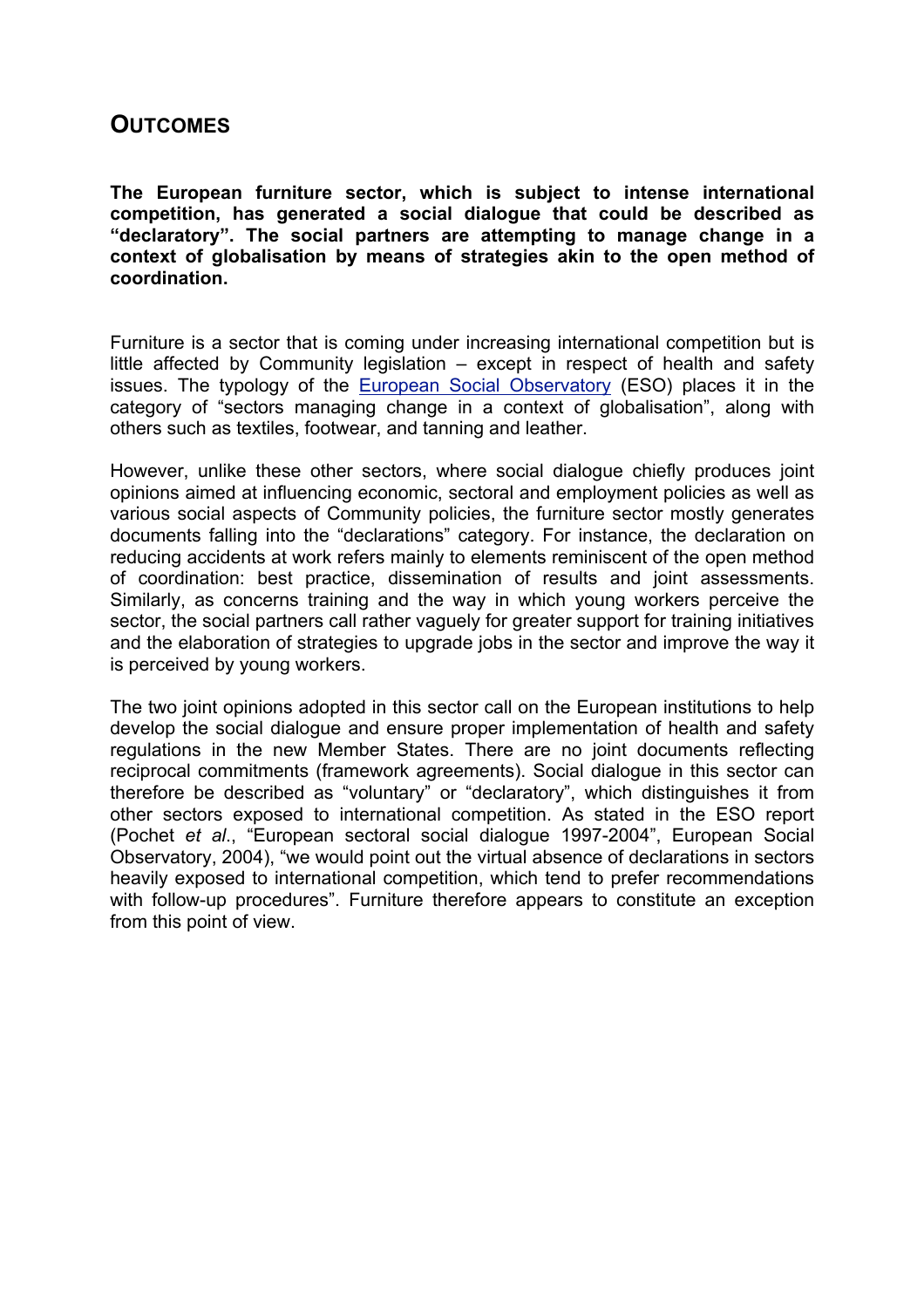#### **OUTCOMES**

**The European furniture sector, which is subject to intense international competition, has generated a social dialogue that could be described as "declaratory". The social partners are attempting to manage change in a context of globalisation by means of strategies akin to the open method of coordination.** 

Furniture is a sector that is coming under increasing international competition but is little affected by Community legislation – except in respect of health and safety issues. The typology of the European Social Observatory (ESO) places it in the category of "sectors managing change in a context of globalisation", along with others such as textiles, footwear, and tanning and leather.

However, unlike these other sectors, where social dialogue chiefly produces joint opinions aimed at influencing economic, sectoral and employment policies as well as various social aspects of Community policies, the furniture sector mostly generates documents falling into the "declarations" category. For instance, the declaration on reducing accidents at work refers mainly to elements reminiscent of the open method of coordination: best practice, dissemination of results and joint assessments. Similarly, as concerns training and the way in which young workers perceive the sector, the social partners call rather vaguely for greater support for training initiatives and the elaboration of strategies to upgrade jobs in the sector and improve the way it is perceived by young workers.

The two joint opinions adopted in this sector call on the European institutions to help develop the social dialogue and ensure proper implementation of health and safety regulations in the new Member States. There are no joint documents reflecting reciprocal commitments (framework agreements). Social dialogue in this sector can therefore be described as "voluntary" or "declaratory", which distinguishes it from other sectors exposed to international competition. As stated in the ESO report (Pochet *et al*., "European sectoral social dialogue 1997-2004", European Social Observatory, 2004), "we would point out the virtual absence of declarations in sectors heavily exposed to international competition, which tend to prefer recommendations with follow-up procedures". Furniture therefore appears to constitute an exception from this point of view.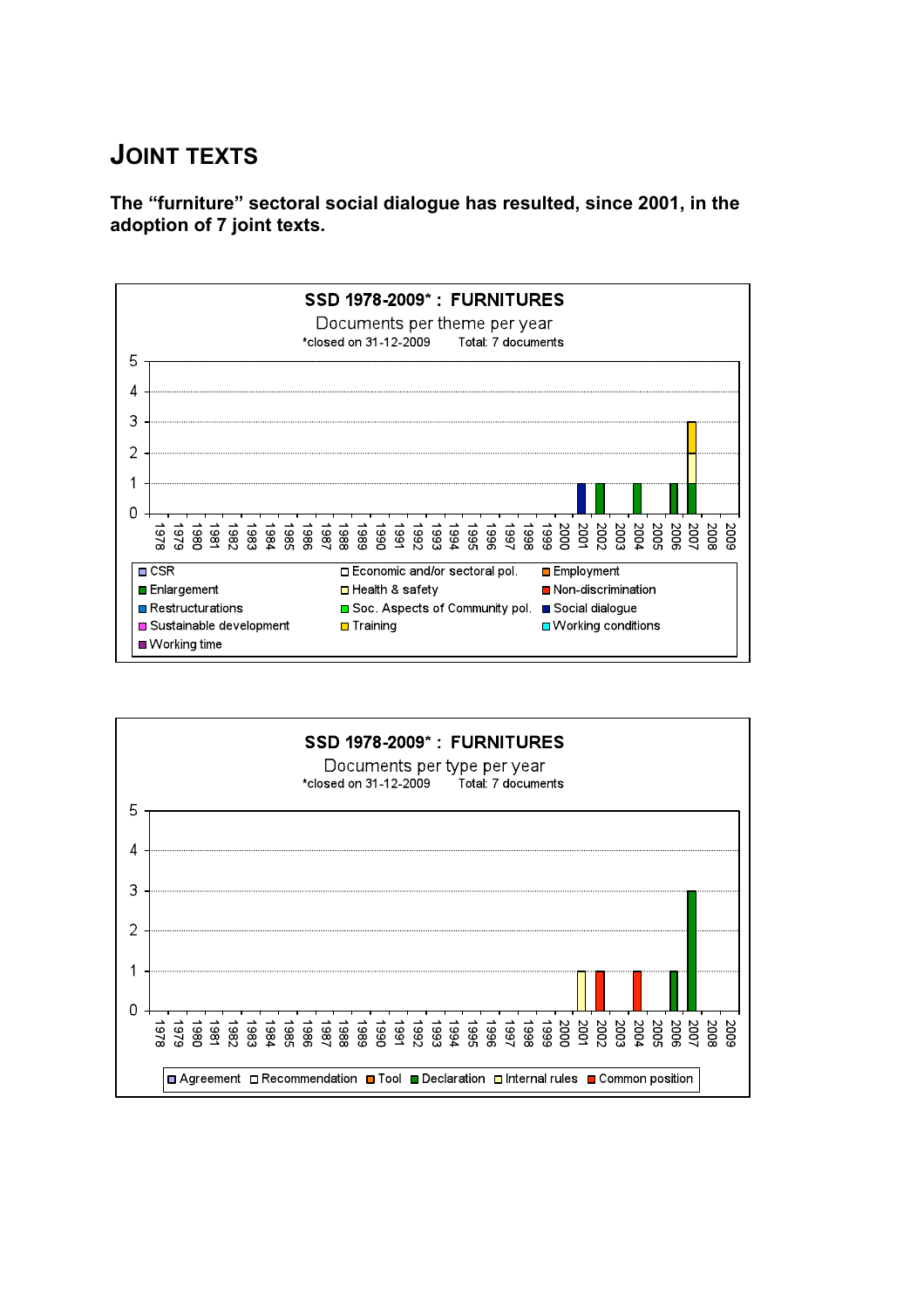# **JOINT TEXTS**

**The "furniture" sectoral social dialogue has resulted, since 2001, in the adoption of 7 joint texts.**